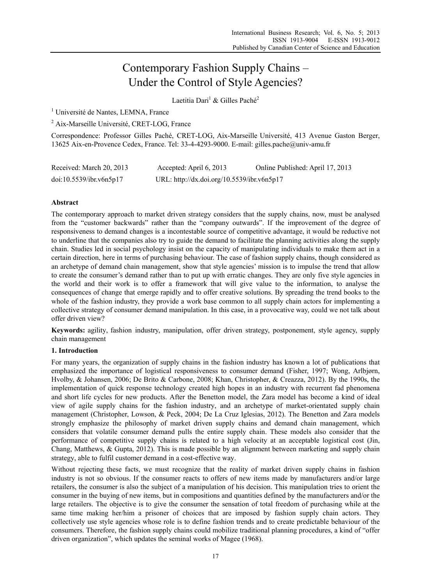# Contemporary Fashion Supply Chains – Under the Control of Style Agencies?

Laetitia Dari<sup>1</sup> & Gilles Paché<sup>2</sup>

<sup>1</sup> Université de Nantes, LEMNA, France

2 Aix-Marseille Université, CRET-LOG, France

Correspondence: Professor Gilles Paché, CRET-LOG, Aix-Marseille Université, 413 Avenue Gaston Berger, 13625 Aix-en-Provence Cedex, France. Tel: 33-4-4293-9000. E-mail: gilles.pache@univ-amu.fr

| Received: March 20, 2013 | Accepted: April 6, 2013                    | Online Published: April 17, 2013 |
|--------------------------|--------------------------------------------|----------------------------------|
| doi:10.5539/ibr.v6n5p17  | URL: http://dx.doi.org/10.5539/ibr.v6n5p17 |                                  |

# **Abstract**

The contemporary approach to market driven strategy considers that the supply chains, now, must be analysed from the "customer backwards" rather than the "company outwards". If the improvement of the degree of responsiveness to demand changes is a incontestable source of competitive advantage, it would be reductive not to underline that the companies also try to guide the demand to facilitate the planning activities along the supply chain. Studies led in social psychology insist on the capacity of manipulating individuals to make them act in a certain direction, here in terms of purchasing behaviour. The case of fashion supply chains, though considered as an archetype of demand chain management, show that style agencies' mission is to impulse the trend that allow to create the consumer's demand rather than to put up with erratic changes. They are only five style agencies in the world and their work is to offer a framework that will give value to the information, to analyse the consequences of change that emerge rapidly and to offer creative solutions. By spreading the trend books to the whole of the fashion industry, they provide a work base common to all supply chain actors for implementing a collective strategy of consumer demand manipulation. In this case, in a provocative way, could we not talk about offer driven view?

**Keywords:** agility, fashion industry, manipulation, offer driven strategy, postponement, style agency, supply chain management

### **1. Introduction**

For many years, the organization of supply chains in the fashion industry has known a lot of publications that emphasized the importance of logistical responsiveness to consumer demand (Fisher, 1997; Wong, Arlbjørn, Hvolby, & Johansen, 2006; De Brito & Carbone, 2008; Khan, Christopher, & Creazza, 2012). By the 1990s, the implementation of quick response technology created high hopes in an industry with recurrent fad phenomena and short life cycles for new products. After the Benetton model, the Zara model has become a kind of ideal view of agile supply chains for the fashion industry, and an archetype of market-orientated supply chain management (Christopher, Lowson, & Peck, 2004; De La Cruz Iglesias, 2012). The Benetton and Zara models strongly emphasize the philosophy of market driven supply chains and demand chain management, which considers that volatile consumer demand pulls the entire supply chain. These models also consider that the performance of competitive supply chains is related to a high velocity at an acceptable logistical cost (Jin, Chang, Matthews, & Gupta, 2012). This is made possible by an alignment between marketing and supply chain strategy, able to fulfil customer demand in a cost-effective way.

Without rejecting these facts, we must recognize that the reality of market driven supply chains in fashion industry is not so obvious. If the consumer reacts to offers of new items made by manufacturers and/or large retailers, the consumer is also the subject of a manipulation of his decision. This manipulation tries to orient the consumer in the buying of new items, but in compositions and quantities defined by the manufacturers and/or the large retailers. The objective is to give the consumer the sensation of total freedom of purchasing while at the same time making her/him a prisoner of choices that are imposed by fashion supply chain actors. They collectively use style agencies whose role is to define fashion trends and to create predictable behaviour of the consumers. Therefore, the fashion supply chains could mobilize traditional planning procedures, a kind of "offer driven organization", which updates the seminal works of Magee (1968).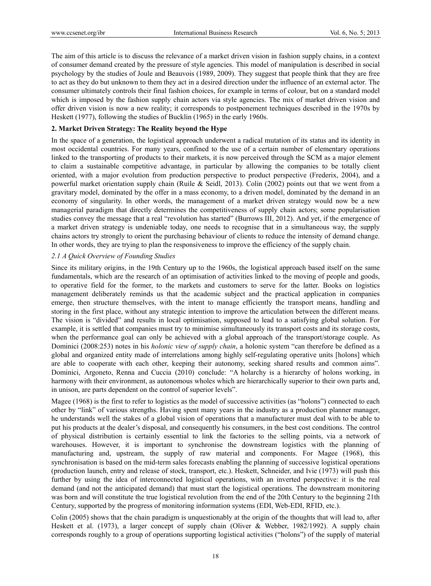The aim of this article is to discuss the relevance of a market driven vision in fashion supply chains, in a context of consumer demand created by the pressure of style agencies. This model of manipulation is described in social psychology by the studies of Joule and Beauvois (1989, 2009). They suggest that people think that they are free to act as they do but unknown to them they act in a desired direction under the influence of an external actor. The consumer ultimately controls their final fashion choices, for example in terms of colour, but on a standard model which is imposed by the fashion supply chain actors via style agencies. The mix of market driven vision and offer driven vision is now a new reality; it corresponds to postponement techniques described in the 1970s by Heskett (1977), following the studies of Bucklin (1965) in the early 1960s.

## **2. Market Driven Strategy: The Reality beyond the Hype**

In the space of a generation, the logistical approach underwent a radical mutation of its status and its identity in most occidental countries. For many years, confined to the use of a certain number of elementary operations linked to the transporting of products to their markets, it is now perceived through the SCM as a major element to claim a sustainable competitive advantage, in particular by allowing the companies to be totally client oriented, with a major evolution from production perspective to product perspective (Frederix, 2004), and a powerful market orientation supply chain (Ruile & Seidl, 2013). Colin (2002) points out that we went from a gravitary model, dominated by the offer in a mass economy, to a driven model, dominated by the demand in an economy of singularity. In other words, the management of a market driven strategy would now be a new managerial paradigm that directly determines the competitiveness of supply chain actors; some popularisation studies convey the message that a real "revolution has started" (Burrows III, 2012). And yet, if the emergence of a market driven strategy is undeniable today, one needs to recognise that in a simultaneous way, the supply chains actors try strongly to orient the purchasing behaviour of clients to reduce the intensity of demand change. In other words, they are trying to plan the responsiveness to improve the efficiency of the supply chain.

#### *2.1 A Quick Overview of Founding Studies*

Since its military origins, in the 19th Century up to the 1960s, the logistical approach based itself on the same fundamentals, which are the research of an optimisation of activities linked to the moving of people and goods, to operative field for the former, to the markets and customers to serve for the latter. Books on logistics management deliberately reminds us that the academic subject and the practical application in companies emerge, then structure themselves, with the intent to manage efficiently the transport means, handling and storing in the first place, without any strategic intention to improve the articulation between the different means. The vision is "divided" and results in local optimisation, supposed to lead to a satisfying global solution. For example, it is settled that companies must try to minimise simultaneously its transport costs and its storage costs, when the performance goal can only be achieved with a global approach of the transport/storage couple. As Dominici (2008:253) notes in his *holonic view of supply chain*, a holonic system "can therefore be defined as a global and organized entity made of interrelations among highly self-regulating operative units [holons] which are able to cooperate with each other, keeping their autonomy, seeking shared results and common aims". Dominici, Argoneto, Renna and Cuccia (2010) conclude: "A holarchy is a hierarchy of holons working, in harmony with their environment, as autonomous wholes which are hierarchically superior to their own parts and, in unison, are parts dependent on the control of superior levels".

Magee (1968) is the first to refer to logistics as the model of successive activities (as "holons") connected to each other by "link" of various strengths. Having spent many years in the industry as a production planner manager, he understands well the stakes of a global vision of operations that a manufacturer must deal with to be able to put his products at the dealer's disposal, and consequently his consumers, in the best cost conditions. The control of physical distribution is certainly essential to link the factories to the selling points, via a network of warehouses. However, it is important to synchronise the downstream logistics with the planning of manufacturing and, upstream, the supply of raw material and components. For Magee (1968), this synchronisation is based on the mid-term sales forecasts enabling the planning of successive logistical operations (production launch, entry and release of stock, transport, etc.). Heskett, Schneider, and Ivie (1973) will push this further by using the idea of interconnected logistical operations, with an inverted perspective: it is the real demand (and not the anticipated demand) that must start the logistical operations. The downstream monitoring was born and will constitute the true logistical revolution from the end of the 20th Century to the beginning 21th Century, supported by the progress of monitoring information systems (EDI, Web-EDI, RFID, etc.).

Colin (2005) shows that the chain paradigm is unquestionably at the origin of the thoughts that will lead to, after Heskett et al. (1973), a larger concept of supply chain (Oliver & Webber, 1982/1992). A supply chain corresponds roughly to a group of operations supporting logistical activities ("holons") of the supply of material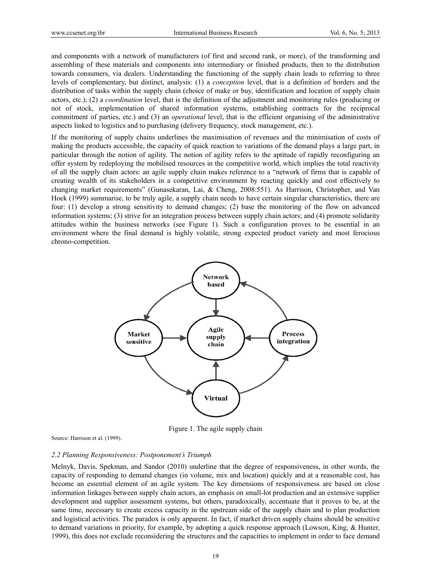and components with a network of manufacturers (of first and second rank, or more), of the transforming and assembling of these materials and components into intermediary or finished products, then to the distribution towards consumers, via dealers. Understanding the functioning of the supply chain leads to referring to three levels of complementary, but distinct, analysis: (1) a *conception* level, that is a definition of borders and the distribution of tasks within the supply chain (choice of make or buy, identification and location of supply chain actors, etc.); (2) a *coordination* level, that is the definition of the adjustment and monitoring rules (producing or not of stock, implementation of shared information systems, establishing contracts for the reciprocal commitment of parties, etc.) and (3) an *operational* level, that is the efficient organising of the administrative aspects linked to logistics and to purchasing (delivery frequency, stock management, etc.).

If the monitoring of supply chains underlines the maximisation of revenues and the minimisation of costs of making the products accessible, the capacity of quick reaction to variations of the demand plays a large part, in particular through the notion of agility. The notion of agility refers to the aptitude of rapidly reconfiguring an offer system by redeploying the mobilised resources in the competitive world, which implies the total reactivity of all the supply chain actors: an agile supply chain makes reference to a "network of firms that is capable of creating wealth of its stakeholders in a competitive environment by reacting quickly and cost effectively to changing market requirements" (Gunasekaran, Lai, & Cheng, 2008:551). As Harrison, Christopher, and Van Hoek (1999) summarise, to be truly agile, a supply chain needs to have certain singular characteristics, there are four: (1) develop a strong sensitivity to demand changes; (2) base the monitoring of the flow on advanced information systems; (3) strive for an integration process between supply chain actors; and (4) promote solidarity attitudes within the business networks (see Figure 1). Such a configuration proves to be essential in an environment where the final demand is highly volatile, strong expected product variety and most ferocious chrono-competition.



Figure 1. The agile supply chain

Source: Harrison et al. (1999).

#### *2.2 Planning Responsiveness: Postponement's Triumph*

Melnyk, Davis, Spekman, and Sandor (2010) underline that the degree of responsiveness, in other words, the capacity of responding to demand changes (in volume, mix and location) quickly and at a reasonable cost, has become an essential element of an agile system. The key dimensions of responsiveness are based on close information linkages between supply chain actors, an emphasis on small-lot production and an extensive supplier development and supplier assessment systems, but others, paradoxically, accentuate that it proves to be, at the same time, necessary to create excess capacity in the upstream side of the supply chain and to plan production and logistical activities. The paradox is only apparent. In fact, if market driven supply chains should be sensitive to demand variations in priority, for example, by adopting a quick response approach (Lowson, King, & Hunter, 1999), this does not exclude reconsidering the structures and the capacities to implement in order to face demand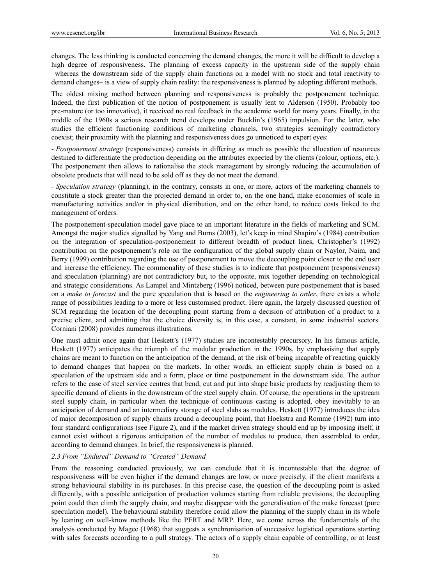changes. The less thinking is conducted concerning the demand changes, the more it will be difficult to develop a high degree of responsiveness. The planning of excess capacity in the upstream side of the supply chain –whereas the downstream side of the supply chain functions on a model with no stock and total reactivity to demand changes– is a view of supply chain reality: the responsiveness is planned by adopting different methods.

The oldest mixing method between planning and responsiveness is probably the postponement technique. Indeed, the first publication of the notion of postponement is usually lent to Alderson (1950). Probably too pre-mature (or too innovative), it received no real feedback in the academic world for many years. Finally, in the middle of the 1960s a serious research trend develops under Bucklin's (1965) impulsion. For the latter, who studies the efficient functioning conditions of marketing channels, two strategies seemingly contradictory coexist; their proximity with the planning and responsiveness does go unnoticed to expert eyes:

- *Postponement strategy* (responsiveness) consists in differing as much as possible the allocation of resources destined to differentiate the production depending on the attributes expected by the clients (colour, options, etc.). The postponement then allows to rationalise the stock management by strongly reducing the accumulation of obsolete products that will need to be sold off as they do not meet the demand.

- *Speculation strategy* (planning), in the contrary, consists in one, or more, actors of the marketing channels to constitute a stock greater than the projected demand in order to, on the one hand, make economies of scale in manufacturing activities and/or in physical distribution, and on the other hand, to reduce costs linked to the management of orders.

The postponement-speculation model gave place to an important literature in the fields of marketing and SCM. Amongst the major studies signalled by Yang and Burns (2003), let's keep in mind Shapiro's (1984) contribution on the integration of speculation-postponement to different breadth of product lines, Christopher's (1992) contribution on the postponement's role on the configuration of the global supply chain or Naylor, Naim, and Berry (1999) contribution regarding the use of postponement to move the decoupling point closer to the end user and increase the efficiency. The commonality of these studies is to indicate that postponement (responsiveness) and speculation (planning) are not contradictory but, to the opposite, mix together depending on technological and strategic considerations. As Lampel and Mintzberg (1996) noticed, between pure postponement that is based on a *make to forecast* and the pure speculation that is based on the *engineering to order*, there exists a whole range of possibilities leading to a more or less customised product. Here again, the largely discussed question of SCM regarding the location of the decoupling point starting from a decision of attribution of a product to a precise client, and admitting that the choice diversity is, in this case, a constant, in some industrial sectors. Corniani (2008) provides numerous illustrations.

One must admit once again that Heskett's (1977) studies are incontestably precursory. In his famous article, Heskett (1977) anticipates the triumph of the modular production in the 1990s, by emphasising that supply chains are meant to function on the anticipation of the demand, at the risk of being incapable of reacting quickly to demand changes that happen on the markets. In other words, an efficient supply chain is based on a speculation of the upstream side and a form, place or time postponement in the downstream side. The author refers to the case of steel service centres that bend, cut and put into shape basic products by readjusting them to specific demand of clients in the downstream of the steel supply chain. Of course, the operations in the upstream steel supply chain, in particular when the technique of continuous casting is adopted, obey inevitably to an anticipation of demand and an intermediary storage of steel slabs as modules. Heskett (1977) introduces the idea of major decomposition of supply chains around a decoupling point, that Hoekstra and Romme (1992) turn into four standard configurations (see Figure 2), and if the market driven strategy should end up by imposing itself, it cannot exist without a rigorous anticipation of the number of modules to produce, then assembled to order, according to demand changes. In brief, the responsiveness is planned.

## *2.3 From "Endured" Demand to "Created" Demand*

From the reasoning conducted previously, we can conclude that it is incontestable that the degree of responsiveness will be even higher if the demand changes are low, or more precisely, if the client manifests a strong behavioural stability in its purchases. In this precise case, the question of the decoupling point is asked differently, with a possible anticipation of production volumes starting from reliable previsions; the decoupling point could then climb the supply chain, and maybe disappear with the generalisation of the make forecast (pure speculation model). The behavioural stability therefore could allow the planning of the supply chain in its whole by leaning on well-know methods like the PERT and MRP. Here, we come across the fundamentals of the analysis conducted by Magee (1968) that suggests a synchronisation of successive logistical operations starting with sales forecasts according to a pull strategy. The actors of a supply chain capable of controlling, or at least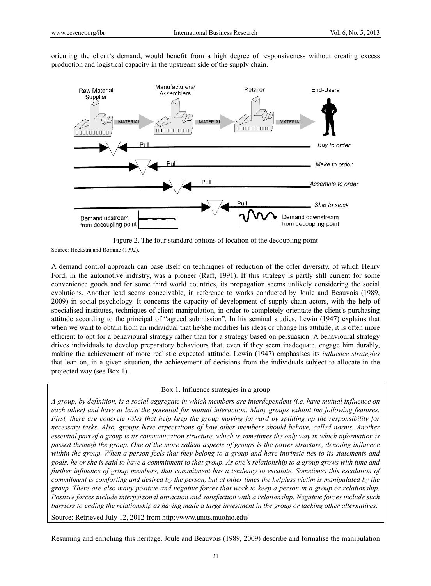orienting the client's demand, would benefit from a high degree of responsiveness without creating excess production and logistical capacity in the upstream side of the supply chain.



Figure 2. The four standard options of location of the decoupling point Source: Hoekstra and Romme (1992).

A demand control approach can base itself on techniques of reduction of the offer diversity, of which Henry Ford, in the automotive industry, was a pioneer (Raff, 1991). If this strategy is partly still current for some convenience goods and for some third world countries, its propagation seems unlikely considering the social evolutions. Another lead seems conceivable, in reference to works conducted by Joule and Beauvois (1989, 2009) in social psychology. It concerns the capacity of development of supply chain actors, with the help of specialised institutes, techniques of client manipulation, in order to completely orientate the client's purchasing attitude according to the principal of "agreed submission". In his seminal studies, Lewin (1947) explains that when we want to obtain from an individual that he/she modifies his ideas or change his attitude, it is often more efficient to opt for a behavioural strategy rather than for a strategy based on persuasion. A behavioural strategy drives individuals to develop preparatory behaviours that, even if they seem inadequate, engage him durably, making the achievement of more realistic expected attitude. Lewin (1947) emphasises its *influence strategies* that lean on, in a given situation, the achievement of decisions from the individuals subject to allocate in the projected way (see Box 1).

## Box 1. Influence strategies in a group

*A group, by definition, is a social aggregate in which members are interdependent (i.e. have mutual influence on each other) and have at least the potential for mutual interaction. Many groups exhibit the following features. First, there are concrete roles that help keep the group moving forward by splitting up the responsibility for necessary tasks. Also, groups have expectations of how other members should behave, called norms. Another essential part of a group is its communication structure, which is sometimes the only way in which information is passed through the group. One of the more salient aspects of groups is the power structure, denoting influence within the group. When a person feels that they belong to a group and have intrinsic ties to its statements and goals, he or she is said to have a commitment to that group. As one's relationship to a group grows with time and further influence of group members, that commitment has a tendency to escalate. Sometimes this escalation of commitment is comforting and desired by the person, but at other times the helpless victim is manipulated by the group. There are also many positive and negative forces that work to keep a person in a group or relationship. Positive forces include interpersonal attraction and satisfaction with a relationship. Negative forces include such barriers to ending the relationship as having made a large investment in the group or lacking other alternatives.*  Source: Retrieved July 12, 2012 from http://www.units.muohio.edu/

Resuming and enriching this heritage, Joule and Beauvois (1989, 2009) describe and formalise the manipulation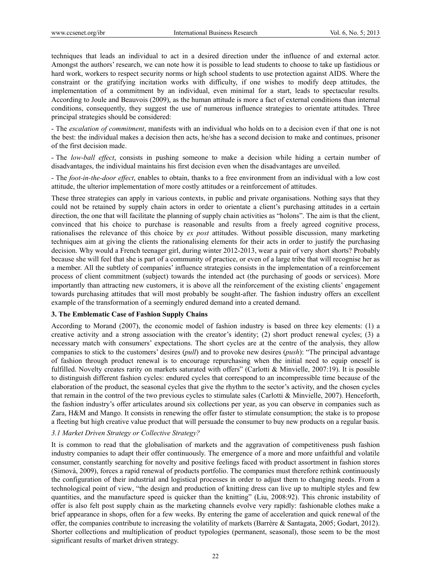techniques that leads an individual to act in a desired direction under the influence of and external actor. Amongst the authors' research, we can note how it is possible to lead students to choose to take up fastidious or hard work, workers to respect security norms or high school students to use protection against AIDS. Where the constraint or the gratifying incitation works with difficulty, if one wishes to modify deep attitudes, the implementation of a commitment by an individual, even minimal for a start, leads to spectacular results. According to Joule and Beauvois (2009), as the human attitude is more a fact of external conditions than internal conditions, consequently, they suggest the use of numerous influence strategies to orientate attitudes. Three principal strategies should be considered:

- The *escalation of commitment*, manifests with an individual who holds on to a decision even if that one is not the best: the individual makes a decision then acts, he/she has a second decision to make and continues, prisoner of the first decision made.

- The *low-ball effect*, consists in pushing someone to make a decision while hiding a certain number of disadvantages, the individual maintains his first decision even when the disadvantages are unveiled.

- The *foot-in-the-door effect*, enables to obtain, thanks to a free environment from an individual with a low cost attitude, the ulterior implementation of more costly attitudes or a reinforcement of attitudes.

These three strategies can apply in various contexts, in public and private organisations. Nothing says that they could not be retained by supply chain actors in order to orientate a client's purchasing attitudes in a certain direction, the one that will facilitate the planning of supply chain activities as "holons". The aim is that the client, convinced that his choice to purchase is reasonable and results from a freely agreed cognitive process, rationalises the relevance of this choice by *ex post* attitudes. Without possible discussion, many marketing techniques aim at giving the clients the rationalising elements for their acts in order to justify the purchasing decision. Why would a French teenager girl, during winter 2012-2013, wear a pair of very short shorts? Probably because she will feel that she is part of a community of practice, or even of a large tribe that will recognise her as a member. All the subtlety of companies' influence strategies consists in the implementation of a reinforcement process of client commitment (subject) towards the intended act (the purchasing of goods or services). More importantly than attracting new customers, it is above all the reinforcement of the existing clients' engagement towards purchasing attitudes that will most probably be sought-after. The fashion industry offers an excellent example of the transformation of a seemingly endured demand into a created demand.

### **3. The Emblematic Case of Fashion Supply Chains**

According to Morand (2007), the economic model of fashion industry is based on three key elements: (1) a creative activity and a strong association with the creator's identity; (2) short product renewal cycles; (3) a necessary match with consumers' expectations. The short cycles are at the centre of the analysis, they allow companies to stick to the customers' desires (*pull*) and to provoke new desires (*push*): "The principal advantage of fashion through product renewal is to encourage repurchasing when the initial need to equip oneself is fulfilled. Novelty creates rarity on markets saturated with offers" (Carlotti & Minvielle, 2007:19). It is possible to distinguish different fashion cycles: endured cycles that correspond to an incompressible time because of the elaboration of the product, the seasonal cycles that give the rhythm to the sector's activity, and the chosen cycles that remain in the control of the two previous cycles to stimulate sales (Carlotti & Minvielle, 2007). Henceforth, the fashion industry's offer articulates around six collections per year, as you can observe in companies such as Zara, H&M and Mango. It consists in renewing the offer faster to stimulate consumption; the stake is to propose a fleeting but high creative value product that will persuade the consumer to buy new products on a regular basis.

# *3.1 Market Driven Strategy or Collective Strategy?*

It is common to read that the globalisation of markets and the aggravation of competitiveness push fashion industry companies to adapt their offer continuously. The emergence of a more and more unfaithful and volatile consumer, constantly searching for novelty and positive feelings faced with product assortment in fashion stores (Simovà, 2009), forces a rapid renewal of products portfolio. The companies must therefore rethink continuously the configuration of their industrial and logistical processes in order to adjust them to changing needs. From a technological point of view, "the design and production of knitting dress can live up to multiple styles and few quantities, and the manufacture speed is quicker than the knitting" (Liu, 2008:92). This chronic instability of offer is also felt post supply chain as the marketing channels evolve very rapidly: fashionable clothes make a brief appearance in shops, often for a few weeks. By entering the game of acceleration and quick renewal of the offer, the companies contribute to increasing the volatility of markets (Barrère & Santagata, 2005; Godart, 2012). Shorter collections and multiplication of product typologies (permanent, seasonal), those seem to be the most significant results of market driven strategy.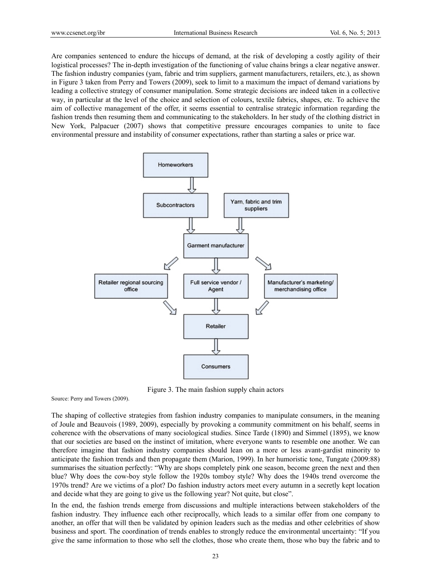Are companies sentenced to endure the hiccups of demand, at the risk of developing a costly agility of their logistical processes? The in-depth investigation of the functioning of value chains brings a clear negative answer. The fashion industry companies (yam, fabric and trim suppliers, garment manufacturers, retailers, etc.), as shown in Figure 3 taken from Perry and Towers (2009), seek to limit to a maximum the impact of demand variations by leading a collective strategy of consumer manipulation. Some strategic decisions are indeed taken in a collective way, in particular at the level of the choice and selection of colours, textile fabrics, shapes, etc. To achieve the aim of collective management of the offer, it seems essential to centralise strategic information regarding the fashion trends then resuming them and communicating to the stakeholders. In her study of the clothing district in New York, Palpacuer (2007) shows that competitive pressure encourages companies to unite to face environmental pressure and instability of consumer expectations, rather than starting a sales or price war.



Figure 3. The main fashion supply chain actors

Source: Perry and Towers (2009).

The shaping of collective strategies from fashion industry companies to manipulate consumers, in the meaning of Joule and Beauvois (1989, 2009), especially by provoking a community commitment on his behalf, seems in coherence with the observations of many sociological studies. Since Tarde (1890) and Simmel (1895), we know that our societies are based on the instinct of imitation, where everyone wants to resemble one another. We can therefore imagine that fashion industry companies should lean on a more or less avant-gardist minority to anticipate the fashion trends and then propagate them (Marion, 1999). In her humoristic tone, Tungate (2009:88) summarises the situation perfectly: "Why are shops completely pink one season, become green the next and then blue? Why does the cow-boy style follow the 1920s tomboy style? Why does the 1940s trend overcome the 1970s trend? Are we victims of a plot? Do fashion industry actors meet every autumn in a secretly kept location and decide what they are going to give us the following year? Not quite, but close".

In the end, the fashion trends emerge from discussions and multiple interactions between stakeholders of the fashion industry. They influence each other reciprocally, which leads to a similar offer from one company to another, an offer that will then be validated by opinion leaders such as the medias and other celebrities of show business and sport. The coordination of trends enables to strongly reduce the environmental uncertainty: "If you give the same information to those who sell the clothes, those who create them, those who buy the fabric and to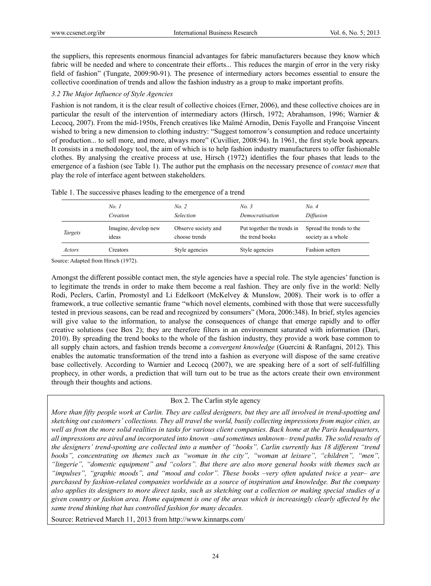the suppliers, this represents enormous financial advantages for fabric manufacturers because they know which fabric will be needed and where to concentrate their efforts... This reduces the margin of error in the very risky field of fashion" (Tungate, 2009:90-91). The presence of intermediary actors becomes essential to ensure the collective coordination of trends and allow the fashion industry as a group to make important profits.

### *3.2 The Major Influence of Style Agencies*

Fashion is not random, it is the clear result of collective choices (Erner, 2006), and these collective choices are in particular the result of the intervention of intermediary actors (Hirsch, 1972; Abrahamson, 1996; Warnier & Lecocq, 2007). From the mid-1950s, French creatives like Maïmé Arnodin, Denis Fayolle and Françoise Vincent wished to bring a new dimension to clothing industry: "Suggest tomorrow's consumption and reduce uncertainty of production... to sell more, and more, always more" (Cuvillier, 2008:94). In 1961, the first style book appears. It consists in a methodology tool, the aim of which is to help fashion industry manufacturers to offer fashionable clothes. By analysing the creative process at use, Hirsch (1972) identifies the four phases that leads to the emergence of a fashion (see Table 1). The author put the emphasis on the necessary presence of *contact men* that play the role of interface agent between stakeholders.

|  |  |  | Table 1. The successive phases leading to the emergence of a trend |
|--|--|--|--------------------------------------------------------------------|
|  |  |  |                                                                    |

|         | No.1                 | No. 2               | No. 3                      | No. 4                    |
|---------|----------------------|---------------------|----------------------------|--------------------------|
|         | Creation             | <b>Selection</b>    | Democratisation            | Diffusion                |
| Targets | Imagine, develop new | Observe society and | Put together the trends in | Spread the trends to the |
|         | ideas                | choose trends       | the trend books            | society as a whole       |
| Actors  | Creators             | Style agencies      | Style agencies             | <b>Fashion setters</b>   |

Source: Adapted from Hirsch (1972).

Amongst the different possible contact men, the style agencies have a special role. The style agencies' function is to legitimate the trends in order to make them become a real fashion. They are only five in the world: Nelly Rodi, Peclers, Carlin, Promostyl and Li Edelkoort (McKelvey & Munslow, 2008). Their work is to offer a framework, a true collective semantic frame "which novel elements, combined with those that were successfully tested in previous seasons, can be read and recognized by consumers" (Mora, 2006:348). In brief, styles agencies will give value to the information, to analyse the consequences of change that emerge rapidly and to offer creative solutions (see Box 2); they are therefore filters in an environment saturated with information (Dari, 2010). By spreading the trend books to the whole of the fashion industry, they provide a work base common to all supply chain actors, and fashion trends become a *convergent knowledge* (Guercini & Ranfagni, 2012). This enables the automatic transformation of the trend into a fashion as everyone will dispose of the same creative base collectively. According to Warnier and Lecocq (2007), we are speaking here of a sort of self-fulfilling prophecy, in other words, a prediction that will turn out to be true as the actors create their own environment through their thoughts and actions.

### Box 2. The Carlin style agency

*More than fifty people work at Carlin. They are called designers, but they are all involved in trend-spotting and sketching out customers' collections. They all travel the world, busily collecting impressions from major cities, as well as from the more solid realities in tasks for various client companies. Back home at the Paris headquarters, all impressions are aired and incorporated into known –and sometimes unknown– trend paths. The solid results of the designers' trend-spotting are collected into a number of "books". Carlin currently has 18 different "trend books", concentrating on themes such as "woman in the city", "woman at leisure", "children", "men", "lingerie", "domestic equipment" and "colors". But there are also more general books with themes such as "impulses", "graphic moods", and "mood and color". These books –very often updated twice a year– are purchased by fashion-related companies worldwide as a source of inspiration and knowledge. But the company also applies its designers to more direct tasks, such as sketching out a collection or making special studies of a given country or fashion area. Home equipment is one of the areas which is increasingly clearly affected by the same trend thinking that has controlled fashion for many decades.* 

Source: Retrieved March 11, 2013 from http://www.kinnarps.com/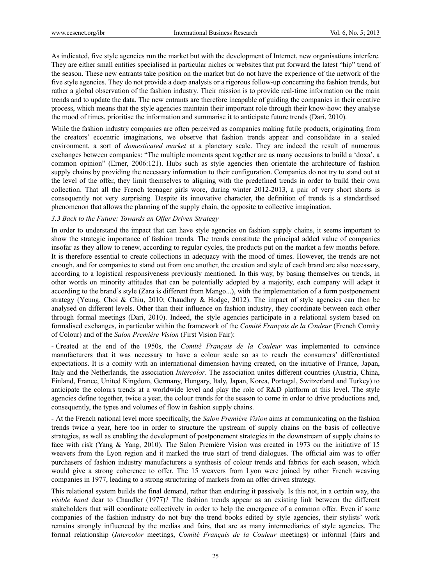As indicated, five style agencies run the market but with the development of Internet, new organisations interfere. They are either small entities specialised in particular niches or websites that put forward the latest "hip" trend of the season. These new entrants take position on the market but do not have the experience of the network of the five style agencies. They do not provide a deep analysis or a rigorous follow-up concerning the fashion trends, but rather a global observation of the fashion industry. Their mission is to provide real-time information on the main trends and to update the data. The new entrants are therefore incapable of guiding the companies in their creative process, which means that the style agencies maintain their important role through their know-how: they analyse the mood of times, prioritise the information and summarise it to anticipate future trends (Dari, 2010).

While the fashion industry companies are often perceived as companies making futile products, originating from the creators' eccentric imaginations, we observe that fashion trends appear and consolidate in a sealed environment, a sort of *domesticated market* at a planetary scale. They are indeed the result of numerous exchanges between companies: "The multiple moments spent together are as many occasions to build a 'doxa', a common opinion" (Erner, 2006:121). Hub*s* such as style agencies then orientate the architecture of fashion supply chains by providing the necessary information to their configuration. Companies do not try to stand out at the level of the offer, they limit themselves to aligning with the predefined trends in order to build their own collection. That all the French teenager girls wore, during winter 2012-2013, a pair of very short shorts is consequently not very surprising. Despite its innovative character, the definition of trends is a standardised phenomenon that allows the planning of the supply chain, the opposite to collective imagination.

### *3.3 Back to the Future: Towards an Offer Driven Strategy*

In order to understand the impact that can have style agencies on fashion supply chains, it seems important to show the strategic importance of fashion trends. The trends constitute the principal added value of companies insofar as they allow to renew, according to regular cycles, the products put on the market a few months before. It is therefore essential to create collections in adequacy with the mood of times. However, the trends are not enough, and for companies to stand out from one another, the creation and style of each brand are also necessary, according to a logistical responsiveness previously mentioned. In this way, by basing themselves on trends, in other words on minority attitudes that can be potentially adopted by a majority, each company will adapt it according to the brand's style (Zara is different from Mango...), with the implementation of a form postponement strategy (Yeung, Choi & Chiu, 2010; Chaudhry & Hodge, 2012). The impact of style agencies can then be analysed on different levels. Other than their influence on fashion industry, they coordinate between each other through formal meetings (Dari, 2010). Indeed, the style agencies participate in a relational system based on formalised exchanges, in particular within the framework of the *Comité Français de la Couleur* (French Comity of Colour) and of the *Salon Première Vision* (First Vision Fair):

- Created at the end of the 1950s, the *Comité Français de la Couleur* was implemented to convince manufacturers that it was necessary to have a colour scale so as to reach the consumers' differentiated expectations. It is a comity with an international dimension having created, on the initiative of France, Japan, Italy and the Netherlands, the association *Intercolor*. The association unites different countries (Austria, China, Finland, France, United Kingdom, Germany, Hungary, Italy, Japan, Korea, Portugal, Switzerland and Turkey) to anticipate the colours trends at a worldwide level and play the role of R&D platform at this level. The style agencies define together, twice a year, the colour trends for the season to come in order to drive productions and, consequently, the types and volumes of flow in fashion supply chains.

- At the French national level more specifically, the *Salon Première Vision* aims at communicating on the fashion trends twice a year, here too in order to structure the upstream of supply chains on the basis of collective strategies, as well as enabling the development of postponement strategies in the downstream of supply chains to face with risk (Yang & Yang, 2010). The Salon Première Vision was created in 1973 on the initiative of 15 weavers from the Lyon region and it marked the true start of trend dialogues. The official aim was to offer purchasers of fashion industry manufacturers a synthesis of colour trends and fabrics for each season, which would give a strong coherence to offer. The 15 weavers from Lyon were joined by other French weaving companies in 1977, leading to a strong structuring of markets from an offer driven strategy.

This relational system builds the final demand, rather than enduring it passively. Is this not, in a certain way, the *visible hand* dear to Chandler (1977)? The fashion trends appear as an existing link between the different stakeholders that will coordinate collectively in order to help the emergence of a common offer. Even if some companies of the fashion industry do not buy the trend books edited by style agencies, their stylists' work remains strongly influenced by the medias and fairs, that are as many intermediaries of style agencies. The formal relationship (*Intercolor* meetings, *Comité Français de la Couleur* meetings) or informal (fairs and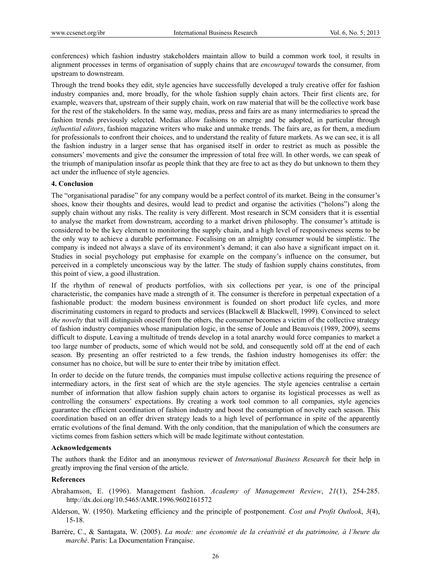conferences) which fashion industry stakeholders maintain allow to build a common work tool, it results in alignment processes in terms of organisation of supply chains that are *encouraged* towards the consumer, from upstream to downstream.

Through the trend books they edit, style agencies have successfully developed a truly creative offer for fashion industry companies and, more broadly, for the whole fashion supply chain actors. Their first clients are, for example, weavers that, upstream of their supply chain, work on raw material that will be the collective work base for the rest of the stakeholders. In the same way, medias, press and fairs are as many intermediaries to spread the fashion trends previously selected. Medias allow fashions to emerge and be adopted, in particular through *influential editors*, fashion magazine writers who make and unmake trends. The fairs are, as for them, a medium for professionals to confront their choices, and to understand the reality of future markets. As we can see, it is all the fashion industry in a larger sense that has organised itself in order to restrict as much as possible the consumers' movements and give the consumer the impression of total free will. In other words, we can speak of the triumph of manipulation insofar as people think that they are free to act as they do but unknown to them they act under the influence of style agencies.

#### **4. Conclusion**

The "organisational paradise" for any company would be a perfect control of its market. Being in the consumer's shoes, know their thoughts and desires, would lead to predict and organise the activities ("holons") along the supply chain without any risks. The reality is very different. Most research in SCM considers that it is essential to analyse the market from downstream, according to a market driven philosophy. The consumer's attitude is considered to be the key element to monitoring the supply chain, and a high level of responsiveness seems to be the only way to achieve a durable performance. Focalising on an almighty consumer would be simplistic. The company is indeed not always a slave of its environment's demand; it can also have a significant impact on it. Studies in social psychology put emphasise for example on the company's influence on the consumer, but perceived in a completely unconscious way by the latter. The study of fashion supply chains constitutes, from this point of view, a good illustration.

If the rhythm of renewal of products portfolios, with six collections per year, is one of the principal characteristic, the companies have made a strength of it. The consumer is therefore in perpetual expectation of a fashionable product: the modern business environment is founded on short product life cycles, and more discriminating customers in regard to products and services (Blackwell & Blackwell, 1999). Convinced to select *the novelty* that will distinguish oneself from the others, the consumer becomes a victim of the collective strategy of fashion industry companies whose manipulation logic, in the sense of Joule and Beauvois (1989, 2009), seems difficult to dispute. Leaving a multitude of trends develop in a total anarchy would force companies to market a too large number of products, some of which would not be sold, and consequently sold off at the end of each season. By presenting an offer restricted to a few trends, the fashion industry homogenises its offer: the consumer has no choice, but will be sure to enter their tribe by imitation effect.

In order to decide on the future trends, the companies must impulse collective actions requiring the presence of intermediary actors, in the first seat of which are the style agencies. The style agencies centralise a certain number of information that allow fashion supply chain actors to organise its logistical processes as well as controlling the consumers' expectations. By creating a work tool common to all companies, style agencies guarantee the efficient coordination of fashion industry and boost the consumption of novelty each season. This coordination based on an offer driven strategy leads to a high level of performance in spite of the apparently erratic evolutions of the final demand. With the only condition, that the manipulation of which the consumers are victims comes from fashion setters which will be made legitimate without contestation.

#### **Acknowledgements**

The authors thank the Editor and an anonymous reviewer of *International Business Research* for their help in greatly improving the final version of the article.

### **References**

- Abrahamson, E. (1996). Management fashion. *Academy of Management Review*, *21*(1), 254-285. http://dx.doi.org/10.5465/AMR.1996.9602161572
- Alderson, W. (1950). Marketing efficiency and the principle of postponement. *Cost and Profit Outlook*, *3*(4), 15-18.
- Barrère, C., & Santagata, W. (2005). *La mode: une économie de la créativité et du patrimoine, à l'heure du marché*. Paris: La Documentation Française.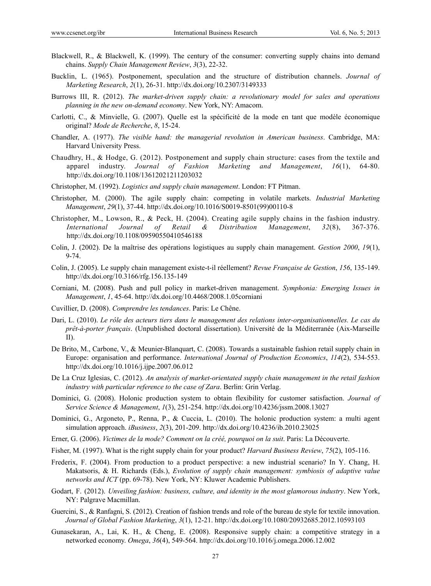- Blackwell, R., & Blackwell, K. (1999). The century of the consumer: converting supply chains into demand chains. *Supply Chain Management Review*, *3*(3), 22-32.
- Bucklin, L. (1965). Postponement, speculation and the structure of distribution channels. *Journal of Marketing Research*, *2*(1), 26-31. http://dx.doi.org/10.2307/3149333
- Burrows III, R. (2012). *The market-driven supply chain: a revolutionary model for sales and operations planning in the new on-demand economy*. New York, NY: Amacom.
- Carlotti, C., & Minvielle, G. (2007). Quelle est la spécificité de la mode en tant que modèle économique original? *Mode de Recherche*, *8*, 15-24.
- Chandler, A. (1977). *The visible hand: the managerial revolution in American business*. Cambridge, MA: Harvard University Press.
- Chaudhry, H., & Hodge, G. (2012). Postponement and supply chain structure: cases from the textile and apparel industry. *Journal of Fashion Marketing and Management*, *16*(1), 64-80. http://dx.doi.org/10.1108/13612021211203032
- Christopher, M. (1992). *Logistics and supply chain management*. London: FT Pitman.
- Christopher, M. (2000). The agile supply chain: competing in volatile markets. *Industrial Marketing Management*, *29*(1), 37-44. http://dx.doi.org/10.1016/S0019-8501(99)00110-8
- Christopher, M., Lowson, R., & Peck, H. (2004). Creating agile supply chains in the fashion industry. *International Journal of Retail & Distribution Management*, *32*(8), 367-376. http://dx.doi.org/10.1108/09590550410546188
- Colin, J. (2002). De la maîtrise des opérations logistiques au supply chain management. *Gestion 2000*, *19*(1), 9-74.
- Colin, J. (2005). Le supply chain management existe-t-il réellement? *Revue Française de Gestion*, *156*, 135-149. http://dx.doi.org/10.3166/rfg.156.135-149
- Corniani, M. (2008). Push and pull policy in market-driven management. *Symphonia: Emerging Issues in Management*, *1*, 45-64. http://dx.doi.org/10.4468/2008.1.05corniani
- Cuvillier, D. (2008). *Comprendre les tendances*. Paris: Le Chêne.
- Dari, L. (2010). *Le rôle des acteurs tiers dans le management des relations inter-organisationnelles. Le cas du prêt-à-porter français*. (Unpublished doctoral dissertation). Université de la Méditerranée (Aix-Marseille II).
- De Brito, M., Carbone, V., & Meunier-Blanquart, C. (2008). Towards a sustainable fashion retail supply chain in Europe: organisation and performance. *International Journal of Production Economics*, *114*(2), 534-553. http://dx.doi.org/10.1016/j.ijpe.2007.06.012
- De La Cruz Iglesias, C. (2012). *An analysis of market-orientated supply chain management in the retail fashion industry with particular reference to the case of Zara*. Berlin: Grin Verlag.
- Dominici, G. (2008). Holonic production system to obtain flexibility for customer satisfaction. *Journal of Service Science & Management*, *1*(3), 251-254. http://dx.doi.org/10.4236/jssm.2008.13027
- Dominici, G., Argoneto, P., Renna, P., & Cuccia, L. (2010). The holonic production system: a multi agent simulation approach. *iBusiness*, *2*(3), 201-209. http://dx.doi.org/10.4236/ib.2010.23025
- Erner, G. (2006). *Victimes de la mode? Comment on la créé, pourquoi on la suit*. Paris: La Découverte.
- Fisher, M. (1997). What is the right supply chain for your product? *Harvard Business Review*, *75*(2), 105-116.
- Frederix, F. (2004). From production to a product perspective: a new industrial scenario? In Y. Chang, H. Makatsoris, & H. Richards (Eds.), *Evolution of supply chain management: symbiosis of adaptive value networks and ICT* (pp. 69-78). New York, NY: Kluwer Academic Publishers.
- Godart, F. (2012). *Unveiling fashion: business, culture, and identity in the most glamorous industry*. New York, NY: Palgrave Macmillan.
- Guercini, S., & Ranfagni, S. (2012). Creation of fashion trends and role of the bureau de style for textile innovation. *Journal of Global Fashion Marketing*, *3*(1), 12-21. http://dx.doi.org/10.1080/20932685.2012.10593103
- Gunasekaran, A., Lai, K. H., & Cheng, E. (2008). Responsive supply chain: a competitive strategy in a networked economy. *Omega*, *36*(4), 549-564. http://dx.doi.org/10.1016/j.omega.2006.12.002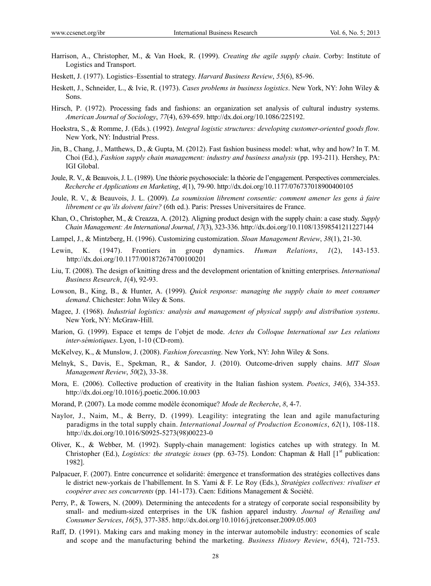- Harrison, A., Christopher, M., & Van Hoek, R. (1999). *Creating the agile supply chain*. Corby: Institute of Logistics and Transport.
- Heskett, J. (1977). Logistics–Essential to strategy. *Harvard Business Review*, *55*(6), 85-96.
- Heskett, J., Schneider, L., & Ivie, R. (1973). *Cases problems in business logistics*. New York, NY: John Wiley & Sons.
- Hirsch, P. (1972). Processing fads and fashions: an organization set analysis of cultural industry systems. *American Journal of Sociology*, *77*(4), 639-659. http://dx.doi.org/10.1086/225192.
- Hoekstra, S., & Romme, J. (Eds.). (1992). *Integral logistic structures: developing customer-oriented goods flow.* New York, NY: Industrial Press.
- Jin, B., Chang, J., Matthews, D., & Gupta, M. (2012). Fast fashion business model: what, why and how? In T. M. Choi (Ed.), *Fashion supply chain management: industry and business analysis* (pp. 193-211). Hershey, PA: IGI Global.
- Joule, R. V., & Beauvois, J. L. (1989). Une théorie psychosociale: la théorie de l'engagement. Perspectives commerciales. *Recherche et Applications en Marketing*, *4*(1), 79-90. http://dx.doi.org/10.1177/076737018900400105
- Joule, R. V., & Beauvois, J. L. (2009). *La soumission librement consentie: comment amener les gens à faire librement ce qu'ils doivent faire?* (6th ed.). Paris: Presses Universitaires de France.
- Khan, O., Christopher, M., & Creazza, A. (2012). Aligning product design with the supply chain: a case study. *Supply Chain Management: An International Journal*, *17*(3), 323-336. http://dx.doi.org/10.1108/13598541211227144
- Lampel, J., & Mintzberg, H. (1996). Customizing customization. *Sloan Management Review*, *38*(1), 21-30.
- Lewin, K. (1947). Frontiers in group dynamics. *Human Relations*, *1*(2), 143-153. http://dx.doi.org/10.1177/001872674700100201
- Liu, T. (2008). The design of knitting dress and the development orientation of knitting enterprises. *International Business Research*, *1*(4), 92-93.
- Lowson, B., King, B., & Hunter, A. (1999). *Quick response: managing the supply chain to meet consumer demand*. Chichester: John Wiley & Sons.
- Magee, J. (1968). *Industrial logistics: analysis and management of physical supply and distribution systems*. New York, NY: McGraw-Hill.
- Marion, G. (1999). Espace et temps de l'objet de mode. *Actes du Colloque International sur Les relations inter-sémiotiques*. Lyon, 1-10 (CD-rom).
- McKelvey, K., & Munslow, J. (2008). *Fashion forecasting*. New York, NY: John Wiley & Sons.
- Melnyk, S., Davis, E., Spekman, R., & Sandor, J. (2010). Outcome-driven supply chains. *MIT Sloan Management Review*, *50*(2), 33-38.
- Mora, E. (2006). Collective production of creativity in the Italian fashion system. *Poetics*, *34*(6), 334-353. http://dx.doi.org/10.1016/j.poetic.2006.10.003
- Morand, P. (2007). La mode comme modèle économique? *Mode de Recherche*, *8*, 4-7.
- Naylor, J., Naim, M., & Berry, D. (1999). Leagility: integrating the lean and agile manufacturing paradigms in the total supply chain. *International Journal of Production Economics*, *62*(1), 108-118. http://dx.doi.org/10.1016/S0925-5273(98)00223-0
- Oliver, K., & Webber, M. (1992). Supply-chain management: logistics catches up with strategy. In M. Christopher (Ed.), *Logistics: the strategic issues* (pp. 63-75). London: Chapman & Hall  $[1<sup>st</sup>$  publication: 1982].
- Palpacuer, F. (2007). Entre concurrence et solidarité: émergence et transformation des stratégies collectives dans le district new-yorkais de l'habillement. In S. Yami & F. Le Roy (Eds.), *Stratégies collectives: rivaliser et coopérer avec ses concurrents* (pp. 141-173). Caen: Editions Management & Société.
- Perry, P., & Towers, N. (2009). Determining the antecedents for a strategy of corporate social responsibility by small- and medium-sized enterprises in the UK fashion apparel industry. *Journal of Retailing and Consumer Services*, *16*(5), 377-385. http://dx.doi.org/10.1016/j.jretconser.2009.05.003
- Raff, D. (1991). Making cars and making money in the interwar automobile industry: economies of scale and scope and the manufacturing behind the marketing. *Business History Review*, *65*(4), 721-753.